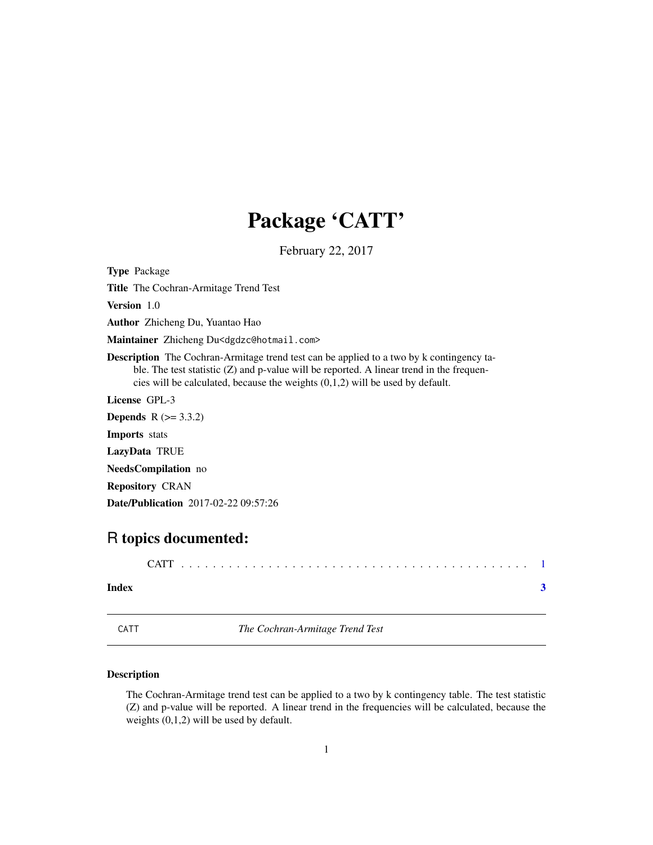## Package 'CATT'

February 22, 2017

<span id="page-0-0"></span>Type Package

Title The Cochran-Armitage Trend Test

Version 1.0

Author Zhicheng Du, Yuantao Hao

Maintainer Zhicheng Du<dgdzc@hotmail.com>

Description The Cochran-Armitage trend test can be applied to a two by k contingency table. The test statistic (Z) and p-value will be reported. A linear trend in the frequencies will be calculated, because the weights (0,1,2) will be used by default.

License GPL-3

**Depends** R  $(>= 3.3.2)$ Imports stats LazyData TRUE NeedsCompilation no Repository CRAN Date/Publication 2017-02-22 09:57:26

### R topics documented:

| Index |  |
|-------|--|
|       |  |

CATT *The Cochran-Armitage Trend Test*

#### Description

The Cochran-Armitage trend test can be applied to a two by k contingency table. The test statistic (Z) and p-value will be reported. A linear trend in the frequencies will be calculated, because the weights (0,1,2) will be used by default.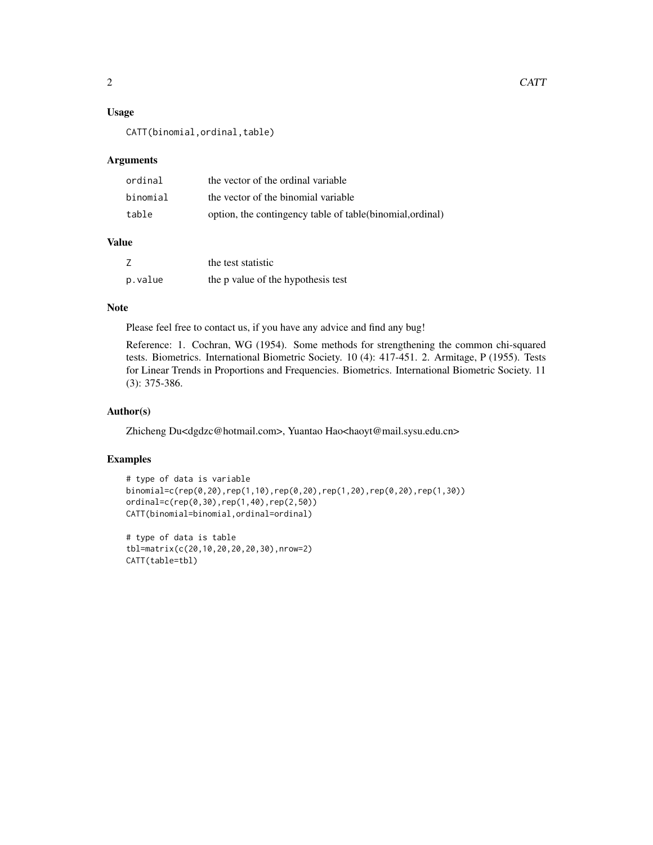#### Usage

CATT(binomial,ordinal,table)

#### Arguments

| ordinal  | the vector of the ordinal variable                         |
|----------|------------------------------------------------------------|
| binomial | the vector of the binomial variable                        |
| table    | option, the contingency table of table (binomial, ordinal) |

#### Value

| Ζ       | the test statistic                 |
|---------|------------------------------------|
| p.value | the p value of the hypothesis test |

#### Note

Please feel free to contact us, if you have any advice and find any bug!

Reference: 1. Cochran, WG (1954). Some methods for strengthening the common chi-squared tests. Biometrics. International Biometric Society. 10 (4): 417-451. 2. Armitage, P (1955). Tests for Linear Trends in Proportions and Frequencies. Biometrics. International Biometric Society. 11 (3): 375-386.

#### Author(s)

Zhicheng Du<dgdzc@hotmail.com>, Yuantao Hao<haoyt@mail.sysu.edu.cn>

#### Examples

```
# type of data is variable
binomial=c(rep(0,20),rep(1,10),rep(0,20),rep(1,20),rep(0,20),rep(1,30))
ordinal=c(rep(0,30),rep(1,40),rep(2,50))
CATT(binomial=binomial,ordinal=ordinal)
```

```
# type of data is table
tbl=matrix(c(20,10,20,20,20,30),nrow=2)
CATT(table=tbl)
```